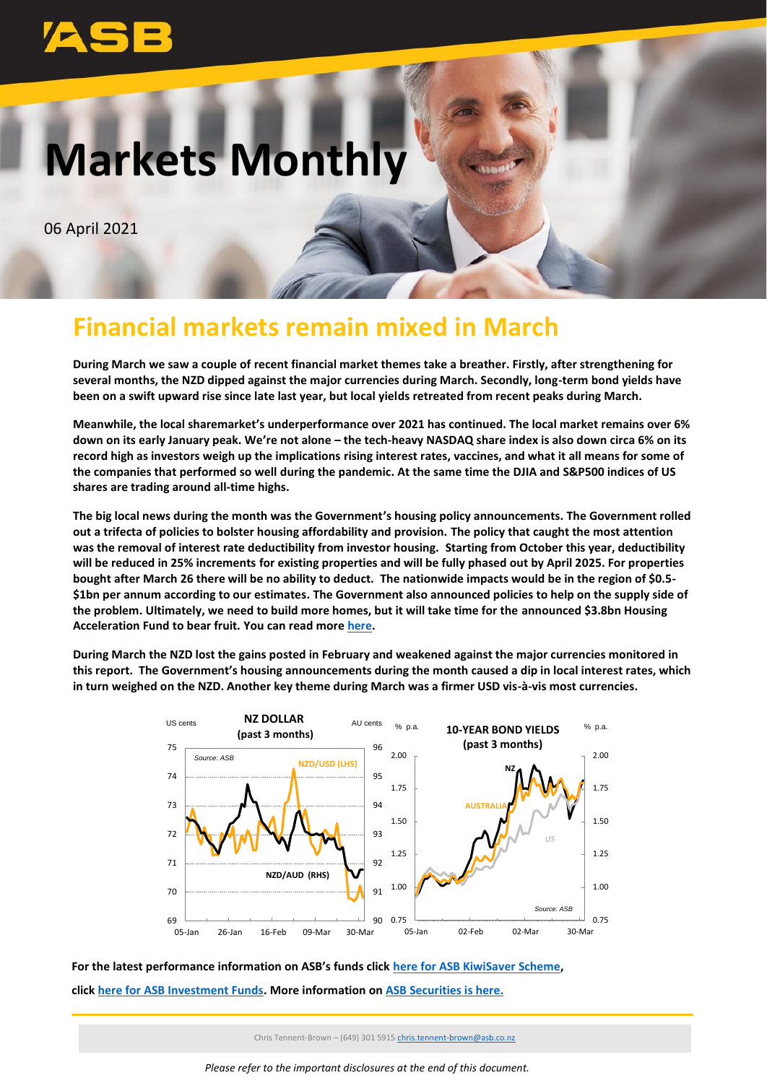# **Markets Monthly**

06 April 2021

## **Financial markets remain mixed in March**

**During March we saw a couple of recent financial market themes take a breather. Firstly, after strengthening for several months, the NZD dipped against the major currencies during March. Secondly, long-term bond yields have been on a swift upward rise since late last year, but local yields retreated from recent peaks during March.**

**Meanwhile, the local sharemarket's underperformance over 2021 has continued. The local market remains over 6% down on its early January peak. We're not alone – the tech-heavy NASDAQ share index is also down circa 6% on its record high as investors weigh up the implications rising interest rates, vaccines, and what it all means for some of the companies that performed so well during the pandemic. At the same time the DJIA and S&P500 indices of US shares are trading around all-time highs.** 

**The big local news during the month was the Government's housing policy announcements. The Government rolled out a trifecta of policies to bolster housing affordability and provision. The policy that caught the most attention**  was the removal of interest rate deductibility from investor housing. Starting from October this year, deductibility **will be reduced in 25% increments for existing properties and will be fully phased out by April 2025. For properties bought after March 26 there will be no ability to deduct. The nationwide impacts would be in the region of \$0.5- \$1bn per annum according to our estimates. The Government also announced policies to help on the supply side of the problem. Ultimately, we need to build more homes, but it will take time for the announced \$3.8bn Housing Acceleration Fund to bear fruit. You can read mor[e here.](https://www.asb.co.nz/content/dam/asb/documents/reports/economic-note/housing-policies-mar-2021.pdf)**

**During March the NZD lost the gains posted in February and weakened against the major currencies monitored in this report. The Government's housing announcements during the month caused a dip in local interest rates, which in turn weighed on the NZD. Another key theme during March was a firmer USD vis-à-vis most currencies.**



### **For the latest performance information on ASB's funds click [here for ASB KiwiSaver](https://www.asb.co.nz/documents/kiwisaver/returns-to-investors.html) Scheme, click [here for ASB Investment Funds.](https://www.asb.co.nz/documents/investment-advice/asb-investment-funds/fund-returns.html) More information o[n ASB Securities is here.](https://www.asb.co.nz/asb-securities)**

Chris Tennent-Brown – (649) 301 591[5 chris.tennent-brown@asb.co.nz](mailto:chris.tennent-brown@asb.co.nz)

*Please refer to the important disclosures at the end of this document.*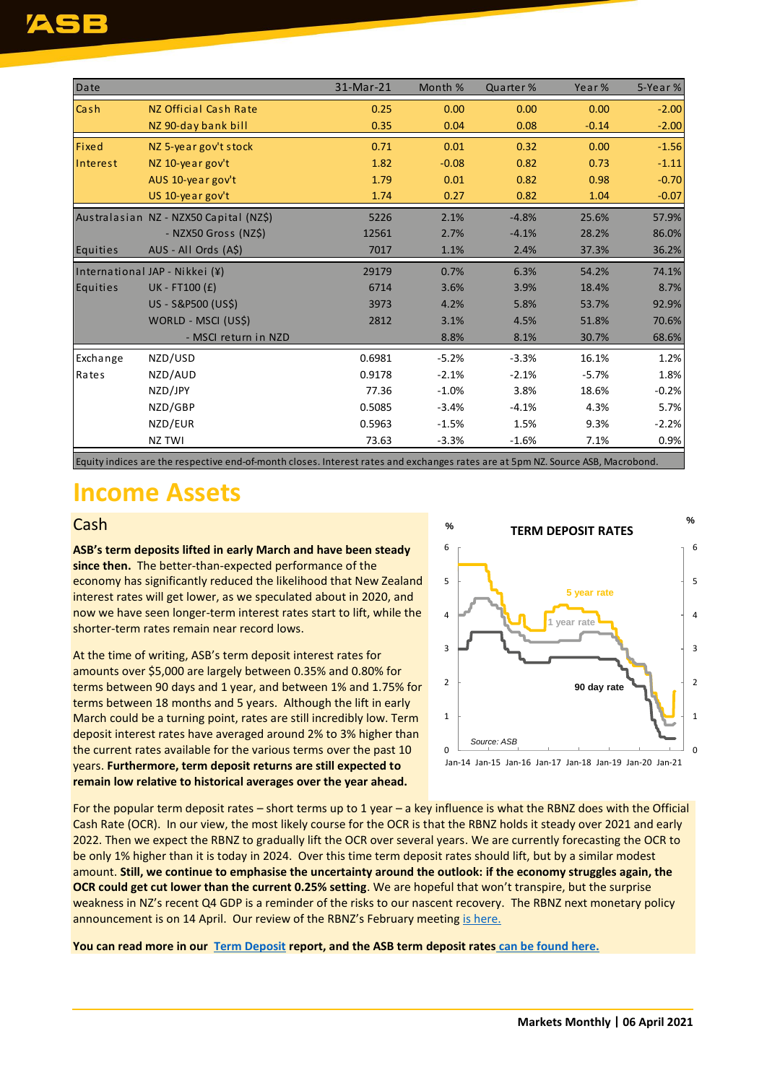| Date                           |                                        | 31-Mar-21 | Month % | Quarter % | Year%   | 5-Year% |
|--------------------------------|----------------------------------------|-----------|---------|-----------|---------|---------|
| Cash                           | NZ Official Cash Rate                  | 0.25      | 0.00    | 0.00      | 0.00    | $-2.00$ |
|                                | NZ 90-day bank bill                    | 0.35      | 0.04    | 0.08      | $-0.14$ | $-2.00$ |
| Fixed                          | NZ 5-year gov't stock                  | 0.71      | 0.01    | 0.32      | 0.00    | $-1.56$ |
| Interest                       | NZ 10-year gov't                       | 1.82      | $-0.08$ | 0.82      | 0.73    | $-1.11$ |
|                                | AUS 10-year gov't                      | 1.79      | 0.01    | 0.82      | 0.98    | $-0.70$ |
|                                | US 10-year gov't                       | 1.74      | 0.27    | 0.82      | 1.04    | $-0.07$ |
|                                | Australasian NZ - NZX50 Capital (NZ\$) | 5226      | 2.1%    | $-4.8%$   | 25.6%   | 57.9%   |
|                                | - NZX50 Gross (NZ\$)                   | 12561     | 2.7%    | $-4.1%$   | 28.2%   | 86.0%   |
| Equities                       | $AUS - All Ords (A$)$                  | 7017      | 1.1%    | 2.4%      | 37.3%   | 36.2%   |
| International JAP - Nikkei (¥) |                                        | 29179     | 0.7%    | 6.3%      | 54.2%   | 74.1%   |
| Equities                       | UK - FT100 (£)                         | 6714      | 3.6%    | 3.9%      | 18.4%   | 8.7%    |
|                                | US - S&P500 (US\$)                     | 3973      | 4.2%    | 5.8%      | 53.7%   | 92.9%   |
|                                | WORLD - MSCI (US\$)                    | 2812      | 3.1%    | 4.5%      | 51.8%   | 70.6%   |
|                                | - MSCI return in NZD                   |           | 8.8%    | 8.1%      | 30.7%   | 68.6%   |
| Exchange                       | NZD/USD                                | 0.6981    | $-5.2%$ | $-3.3%$   | 16.1%   | 1.2%    |
| Rates                          | NZD/AUD                                | 0.9178    | $-2.1%$ | $-2.1%$   | $-5.7%$ | 1.8%    |
|                                | NZD/JPY                                | 77.36     | $-1.0%$ | 3.8%      | 18.6%   | $-0.2%$ |
|                                | NZD/GBP                                | 0.5085    | $-3.4%$ | $-4.1%$   | 4.3%    | 5.7%    |
|                                | NZD/EUR                                | 0.5963    | $-1.5%$ | 1.5%      | 9.3%    | $-2.2%$ |
|                                | <b>NZ TWI</b>                          | 73.63     | $-3.3%$ | $-1.6%$   | 7.1%    | 0.9%    |

Equity indices are the respective end-of-month closes. Interest rates and exchanges rates are at 5pm NZ. Source ASB, Macrobond.

## **Income Assets**

### Cash

**ASB's term deposits lifted in early March and have been steady since then.** The better-than-expected performance of the economy has significantly reduced the likelihood that New Zealand interest rates will get lower, as we speculated about in 2020, and now we have seen longer-term interest rates start to lift, while the shorter-term rates remain near record lows.

At the time of writing, ASB's term deposit interest rates for amounts over \$5,000 are largely between 0.35% and 0.80% for terms between 90 days and 1 year, and between 1% and 1.75% for terms between 18 months and 5 years. Although the lift in early March could be a turning point, rates are still incredibly low. Term deposit interest rates have averaged around 2% to 3% higher than the current rates available for the various terms over the past 10 years. **Furthermore, term deposit returns are still expected to remain low relative to historical averages over the year ahead.**



For the popular term deposit rates – short terms up to 1 year – a key influence is what the RBNZ does with the Official Cash Rate (OCR). In our view, the most likely course for the OCR is that the RBNZ holds it steady over 2021 and early 2022. Then we expect the RBNZ to gradually lift the OCR over several years. We are currently forecasting the OCR to be only 1% higher than it is today in 2024. Over this time term deposit rates should lift, but by a similar modest amount. **Still, we continue to emphasise the uncertainty around the outlook: if the economy struggles again, the OCR could get cut lower than the current 0.25% setting**. We are hopeful that won't transpire, but the surprise weakness in NZ's recent Q4 GDP is a reminder of the risks to our nascent recovery. The RBNZ next monetary policy announcement is on 14 April. Our review of the RBNZ's February meeting [is here.](https://www.asb.co.nz/content/dam/asb/documents/reports/economic-note/rbnz-review-feb21-mps.pdf)

**You can read more in our [Term Deposit](https://www.asb.co.nz/content/dam/asb/documents/reports/term-deposits/Term%20Deposit%20Report%20Oct%202020.pdf) report, and the ASB term deposit rates [can be found here.](https://www.asb.co.nz/term-investments/term-investment-rates.html)**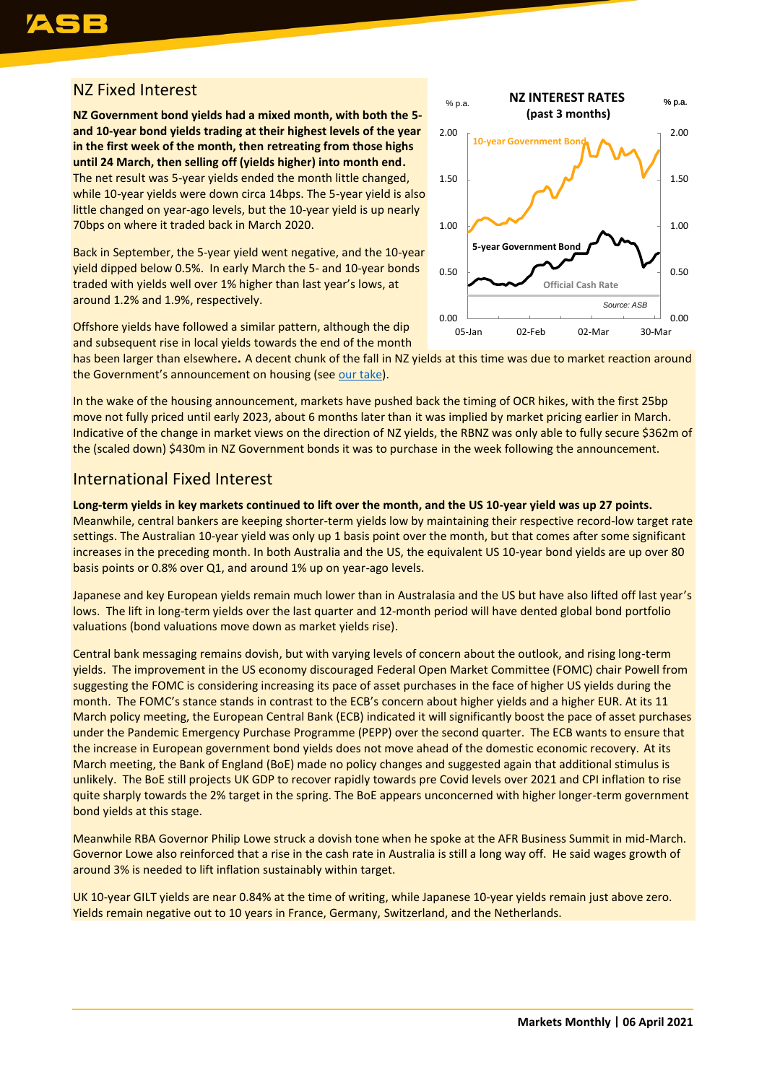### NZ Fixed Interest

**NZ Government bond yields had a mixed month, with both the 5 and 10-year bond yields trading at their highest levels of the year in the first week of the month, then retreating from those highs until 24 March, then selling off (yields higher) into month end.** The net result was 5-year yields ended the month little changed, while 10-year yields were down circa 14bps. The 5-year yield is also little changed on year-ago levels, but the 10-year yield is up nearly 70bps on where it traded back in March 2020.

Back in September, the 5-year yield went negative, and the 10-year yield dipped below 0.5%. In early March the 5- and 10-year bonds traded with yields well over 1% higher than last year's lows, at around 1.2% and 1.9%, respectively.



Offshore yields have followed a similar pattern, although the dip and subsequent rise in local vields towards the end of the month

has been larger than elsewhere**.** A decent chunk of the fall in NZ yields at this time was due to market reaction around the Government's announcement on housing (see [our take\)](https://www.asb.co.nz/content/dam/asb/documents/reports/economic-note/housing-policies-mar-2021.pdf).

In the wake of the housing announcement, markets have pushed back the timing of OCR hikes, with the first 25bp move not fully priced until early 2023, about 6 months later than it was implied by market pricing earlier in March. Indicative of the change in market views on the direction of NZ yields, the RBNZ was only able to fully secure \$362m of the (scaled down) \$430m in NZ Government bonds it was to purchase in the week following the announcement.

### International Fixed Interest

**Long-term yields in key markets continued to lift over the month, and the US 10-year yield was up 27 points.** Meanwhile, central bankers are keeping shorter-term yields low by maintaining their respective record-low target rate settings. The Australian 10-year yield was only up 1 basis point over the month, but that comes after some significant increases in the preceding month. In both Australia and the US, the equivalent US 10-year bond yields are up over 80 basis points or 0.8% over Q1, and around 1% up on year-ago levels.

Japanese and key European yields remain much lower than in Australasia and the US but have also lifted off last year's lows. The lift in long-term yields over the last quarter and 12-month period will have dented global bond portfolio valuations (bond valuations move down as market yields rise).

Central bank messaging remains dovish, but with varying levels of concern about the outlook, and rising long-term yields. The improvement in the US economy discouraged Federal Open Market Committee (FOMC) chair Powell from suggesting the FOMC is considering increasing its pace of asset purchases in the face of higher US yields during the month. The FOMC's stance stands in contrast to the ECB's concern about higher yields and a higher EUR. At its 11 March policy meeting, the European Central Bank (ECB) indicated it will significantly boost the pace of asset purchases under the Pandemic Emergency Purchase Programme (PEPP) over the second quarter. The ECB wants to ensure that the increase in European government bond yields does not move ahead of the domestic economic recovery. At its March meeting, the Bank of England (BoE) made no policy changes and suggested again that additional stimulus is unlikely. The BoE still projects UK GDP to recover rapidly towards pre Covid levels over 2021 and CPI inflation to rise quite sharply towards the 2% target in the spring. The BoE appears unconcerned with higher longer-term government bond yields at this stage.

Meanwhile RBA Governor Philip Lowe struck a dovish tone when he spoke at the AFR Business Summit in mid-March. Governor Lowe also reinforced that a rise in the cash rate in Australia is still a long way off. He said wages growth of around 3% is needed to lift inflation sustainably within target.

UK 10-year GILT yields are near 0.84% at the time of writing, while Japanese 10-year yields remain just above zero. Yields remain negative out to 10 years in France, Germany, Switzerland, and the Netherlands.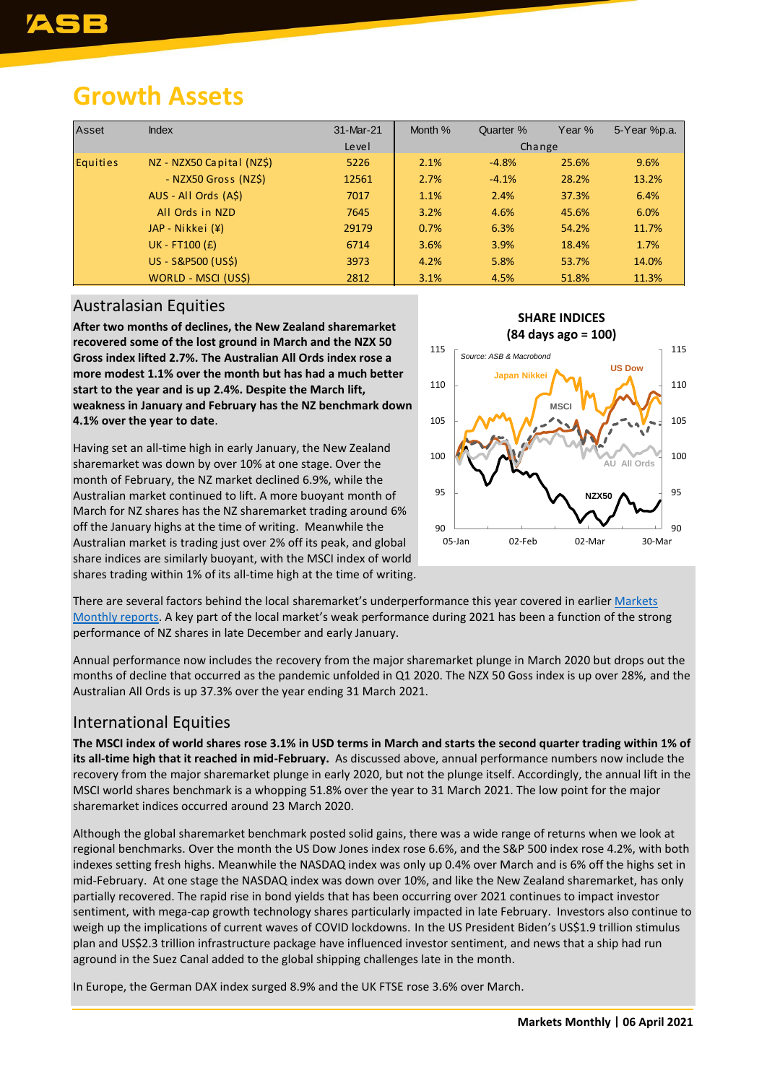## **Growth Assets**

| Asset    | <b>Index</b>              | 31-Mar-21 | Month % | Quarter % | Year % | 5-Year %p.a. |
|----------|---------------------------|-----------|---------|-----------|--------|--------------|
|          |                           | Level     | Change  |           |        |              |
| Equities | NZ - NZX50 Capital (NZ\$) | 5226      | 2.1%    | $-4.8%$   | 25.6%  | 9.6%         |
|          | - NZX50 Gross (NZ\$)      | 12561     | 2.7%    | $-4.1%$   | 28.2%  | 13.2%        |
|          | AUS - All Ords (A\$)      | 7017      | 1.1%    | 2.4%      | 37.3%  | 6.4%         |
|          | All Ords in NZD           | 7645      | 3.2%    | 4.6%      | 45.6%  | 6.0%         |
|          | JAP - Nikkei (¥)          | 29179     | 0.7%    | 6.3%      | 54.2%  | 11.7%        |
|          | $UK - FT100 (E)$          | 6714      | 3.6%    | 3.9%      | 18.4%  | 1.7%         |
|          | US - S&P500 (US\$)        | 3973      | 4.2%    | 5.8%      | 53.7%  | 14.0%        |
|          | WORLD - MSCI (US\$)       | 2812      | 3.1%    | 4.5%      | 51.8%  | 11.3%        |

### Australasian Equities

**After two months of declines, the New Zealand sharemarket recovered some of the lost ground in March and the NZX 50 Gross index lifted 2.7%. The Australian All Ords index rose a more modest 1.1% over the month but has had a much better start to the year and is up 2.4%. Despite the March lift, weakness in January and February has the NZ benchmark down 4.1% over the year to date**.

Having set an all-time high in early January, the New Zealand sharemarket was down by over 10% at one stage. Over the month of February, the NZ market declined 6.9%, while the Australian market continued to lift. A more buoyant month of March for NZ shares has the NZ sharemarket trading around 6% off the January highs at the time of writing. Meanwhile the Australian market is trading just over 2% off its peak, and global share indices are similarly buoyant, with the MSCI index of world shares trading within 1% of its all-time high at the time of writing.

### **SHARE INDICES (84 days ago = 100)**



There are several factors behind the local sharemarket's underperformance this year covered in earlier Markets Monthly reports. A key part of the local market's weak performance during 2021 has been a function of the strong performance of NZ shares in late December and early January.

Annual performance now includes the recovery from the major sharemarket plunge in March 2020 but drops out the months of decline that occurred as the pandemic unfolded in Q1 2020. The NZX 50 Goss index is up over 28%, and the Australian All Ords is up 37.3% over the year ending 31 March 2021.

### International Equities

**The MSCI index of world shares rose 3.1% in USD terms in March and starts the second quarter trading within 1% of its all-time high that it reached in mid-February.** As discussed above, annual performance numbers now include the recovery from the major sharemarket plunge in early 2020, but not the plunge itself. Accordingly, the annual lift in the MSCI world shares benchmark is a whopping 51.8% over the year to 31 March 2021. The low point for the major sharemarket indices occurred around 23 March 2020.

Although the global sharemarket benchmark posted solid gains, there was a wide range of returns when we look at regional benchmarks. Over the month the US Dow Jones index rose 6.6%, and the S&P 500 index rose 4.2%, with both indexes setting fresh highs. Meanwhile the NASDAQ index was only up 0.4% over March and is 6% off the highs set in mid-February. At one stage the NASDAQ index was down over 10%, and like the New Zealand sharemarket, has only partially recovered. The rapid rise in bond yields that has been occurring over 2021 continues to impact investor sentiment, with mega-cap growth technology shares particularly impacted in late February. Investors also continue to weigh up the implications of current waves of COVID lockdowns. In the US President Biden's US\$1.9 trillion stimulus plan and US\$2.3 trillion infrastructure package have influenced investor sentiment, and news that a ship had run aground in the Suez Canal added to the global shipping challenges late in the month.

In Europe, the German DAX index surged 8.9% and the UK FTSE rose 3.6% over March.